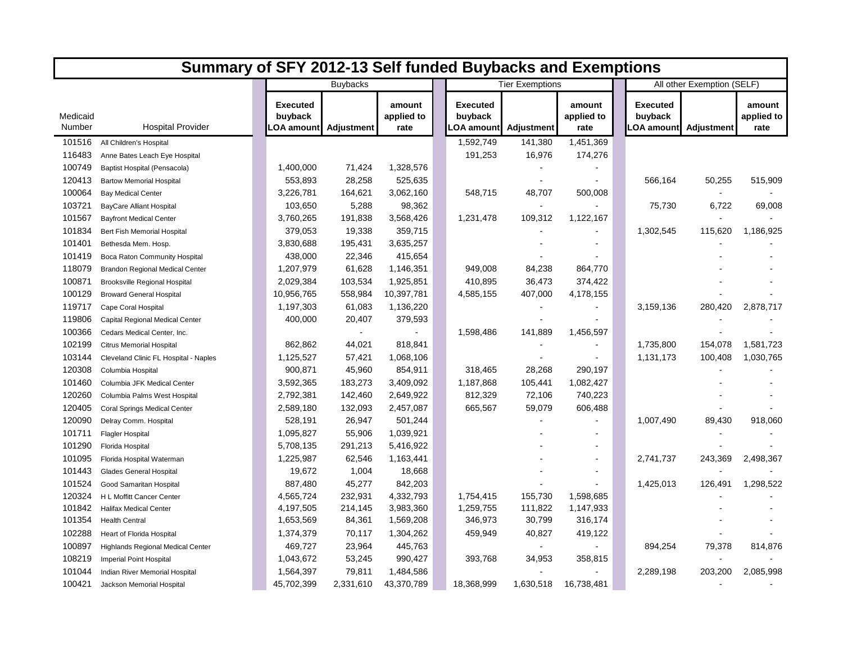| Summary of SFY 2012-13 Self funded Buybacks and Exemptions |                                        |                                         |                |                              |  |                            |                             |                              |                                                   |           |            |                              |
|------------------------------------------------------------|----------------------------------------|-----------------------------------------|----------------|------------------------------|--|----------------------------|-----------------------------|------------------------------|---------------------------------------------------|-----------|------------|------------------------------|
|                                                            |                                        | <b>Buybacks</b>                         |                |                              |  | <b>Tier Exemptions</b>     |                             |                              | All other Exemption (SELF)                        |           |            |                              |
| Medicaid<br>Number                                         | <b>Hospital Provider</b>               | <b>Executed</b><br>buyback<br>OA amount | Adjustment     | amount<br>applied to<br>rate |  | <b>Executed</b><br>buyback | <b>OA amount</b> Adjustment | amount<br>applied to<br>rate | <b>Executed</b><br>buyback<br><b>_OA amount</b> l |           | Adjustment | amount<br>applied to<br>rate |
| 101516                                                     | All Children's Hospital                |                                         |                |                              |  | 1,592,749                  | 141,380                     | 1,451,369                    |                                                   |           |            |                              |
| 116483                                                     | Anne Bates Leach Eye Hospital          |                                         |                |                              |  | 191,253                    | 16,976                      | 174,276                      |                                                   |           |            |                              |
| 100749                                                     | Baptist Hospital (Pensacola)           | 1,400,000                               | 71,424         | 1,328,576                    |  |                            |                             |                              |                                                   |           |            |                              |
| 120413                                                     | <b>Bartow Memorial Hospital</b>        | 553,893                                 | 28,258         | 525,635                      |  |                            |                             |                              |                                                   | 566,164   | 50,255     | 515,909                      |
| 100064                                                     | <b>Bay Medical Center</b>              | 3,226,781                               | 164,621        | 3,062,160                    |  | 548,715                    | 48,707                      | 500,008                      |                                                   |           |            |                              |
| 103721                                                     | <b>BayCare Alliant Hospital</b>        | 103,650                                 | 5,288          | 98,362                       |  |                            | $\overline{a}$              |                              |                                                   | 75,730    | 6,722      | 69,008                       |
| 101567                                                     | <b>Bayfront Medical Center</b>         | 3,760,265                               | 191,838        | 3,568,426                    |  | 1,231,478                  | 109,312                     | 1,122,167                    |                                                   |           |            |                              |
| 101834                                                     | Bert Fish Memorial Hospital            | 379,053                                 | 19,338         | 359,715                      |  |                            | $\overline{a}$              |                              |                                                   | 1,302,545 | 115,620    | 1,186,925                    |
| 101401                                                     | Bethesda Mem. Hosp.                    | 3,830,688                               | 195,431        | 3,635,257                    |  |                            |                             |                              |                                                   |           |            |                              |
| 101419                                                     | Boca Raton Community Hospital          | 438,000                                 | 22,346         | 415,654                      |  |                            |                             |                              |                                                   |           |            |                              |
| 118079                                                     | <b>Brandon Regional Medical Center</b> | 1,207,979                               | 61,628         | 1,146,351                    |  | 949,008                    | 84,238                      | 864,770                      |                                                   |           |            |                              |
| 100871                                                     | <b>Brooksville Regional Hospital</b>   | 2,029,384                               | 103,534        | 1,925,851                    |  | 410,895                    | 36,473                      | 374,422                      |                                                   |           |            |                              |
| 100129                                                     | <b>Broward General Hospital</b>        | 10,956,765                              | 558,984        | 10,397,781                   |  | 4,585,155                  | 407,000                     | 4,178,155                    |                                                   |           |            |                              |
| 119717                                                     | Cape Coral Hospital                    | 1,197,303                               | 61,083         | 1,136,220                    |  |                            |                             |                              |                                                   | 3,159,136 | 280,420    | 2,878,717                    |
| 119806                                                     | Capital Regional Medical Center        | 400,000                                 | 20,407         | 379,593                      |  |                            |                             |                              |                                                   |           |            |                              |
| 100366                                                     | Cedars Medical Center, Inc.            |                                         | $\blacksquare$ |                              |  | 1,598,486                  | 141,889                     | 1,456,597                    |                                                   |           |            |                              |
| 102199                                                     | <b>Citrus Memorial Hospital</b>        | 862,862                                 | 44,021         | 818,841                      |  |                            | $\sim$                      |                              |                                                   | 1,735,800 | 154,078    | 1,581,723                    |
| 103144                                                     | Cleveland Clinic FL Hospital - Naples  | 1,125,527                               | 57,421         | 1,068,106                    |  |                            |                             |                              |                                                   | 1,131,173 | 100,408    | 1,030,765                    |
| 120308                                                     | Columbia Hospital                      | 900,871                                 | 45,960         | 854,911                      |  | 318,465                    | 28,268                      | 290,197                      |                                                   |           |            |                              |
| 101460                                                     | Columbia JFK Medical Center            | 3,592,365                               | 183,273        | 3,409,092                    |  | 1,187,868                  | 105,441                     | 1,082,427                    |                                                   |           |            |                              |
| 120260                                                     | Columbia Palms West Hospital           | 2,792,381                               | 142,460        | 2,649,922                    |  | 812,329                    | 72,106                      | 740,223                      |                                                   |           |            |                              |
| 120405                                                     | Coral Springs Medical Center           | 2,589,180                               | 132,093        | 2,457,087                    |  | 665,567                    | 59,079                      | 606,488                      |                                                   |           |            |                              |
| 120090                                                     | Delray Comm. Hospital                  | 528,191                                 | 26,947         | 501,244                      |  |                            |                             |                              |                                                   | 1,007,490 | 89,430     | 918,060                      |
| 101711                                                     | <b>Flagler Hospital</b>                | 1,095,827                               | 55,906         | 1,039,921                    |  |                            |                             |                              |                                                   |           |            |                              |
| 101290                                                     | Florida Hospital                       | 5,708,135                               | 291,213        | 5,416,922                    |  |                            |                             |                              |                                                   |           |            |                              |
| 101095                                                     | Florida Hospital Waterman              | 1,225,987                               | 62,546         | 1,163,441                    |  |                            |                             |                              |                                                   | 2,741,737 | 243,369    | 2,498,367                    |
| 101443                                                     | <b>Glades General Hospital</b>         | 19,672                                  | 1,004          | 18,668                       |  |                            |                             |                              |                                                   |           |            |                              |
| 101524                                                     | Good Samaritan Hospital                | 887,480                                 | 45,277         | 842,203                      |  |                            |                             |                              |                                                   | 1,425,013 | 126,491    | 1,298,522                    |
| 120324                                                     | H L Moffitt Cancer Center              | 4,565,724                               | 232,931        | 4,332,793                    |  | 1,754,415                  | 155,730                     | 1,598,685                    |                                                   |           |            |                              |
| 101842                                                     | <b>Halifax Medical Center</b>          | 4,197,505                               | 214,145        | 3,983,360                    |  | 1,259,755                  | 111,822                     | 1,147,933                    |                                                   |           |            |                              |
| 101354                                                     | <b>Health Central</b>                  | 1,653,569                               | 84,361         | 1,569,208                    |  | 346,973                    | 30,799                      | 316,174                      |                                                   |           |            |                              |
| 102288                                                     | Heart of Florida Hospital              | 1,374,379                               | 70,117         | 1,304,262                    |  | 459,949                    | 40,827                      | 419,122                      |                                                   |           |            |                              |
| 100897                                                     | Highlands Regional Medical Center      | 469,727                                 | 23,964         | 445,763                      |  |                            |                             |                              |                                                   | 894,254   | 79,378     | 814,876                      |
| 108219                                                     | <b>Imperial Point Hospital</b>         | 1,043,672                               | 53,245         | 990,427                      |  | 393,768                    | 34,953                      | 358,815                      |                                                   |           |            |                              |
| 101044                                                     | Indian River Memorial Hospital         | 1,564,397                               | 79,811         | 1,484,586                    |  |                            |                             |                              |                                                   | 2,289,198 | 203,200    | 2,085,998                    |
| 100421                                                     | Jackson Memorial Hospital              | 45,702,399                              | 2,331,610      | 43,370,789                   |  | 18,368,999                 | 1,630,518                   | 16,738,481                   |                                                   |           |            |                              |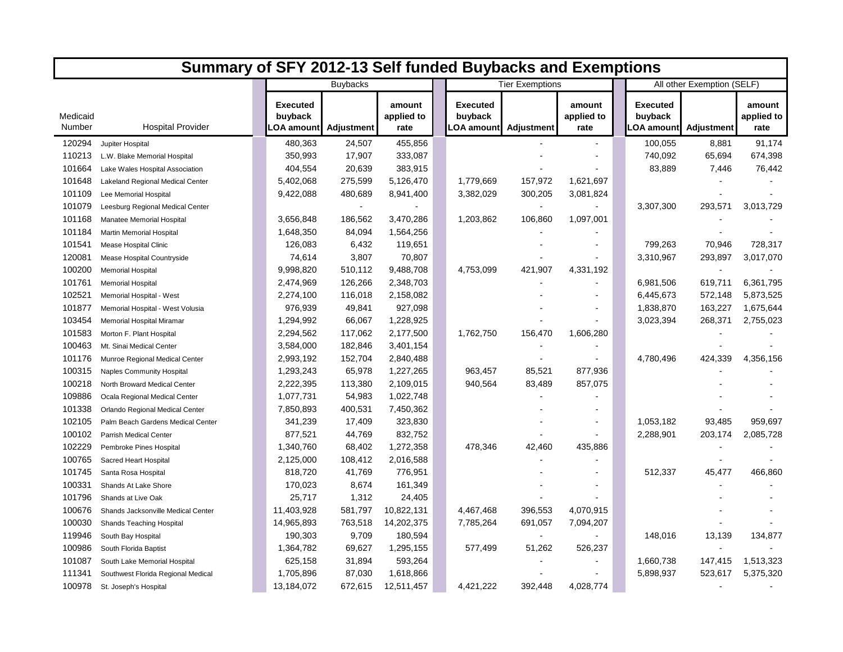| Summary of SFY 2012-13 Self funded Buybacks and Exemptions |                                    |                                          |                   |                              |  |                            |                        |                              |                            |                            |                             |                              |
|------------------------------------------------------------|------------------------------------|------------------------------------------|-------------------|------------------------------|--|----------------------------|------------------------|------------------------------|----------------------------|----------------------------|-----------------------------|------------------------------|
|                                                            |                                    |                                          | <b>Buybacks</b>   |                              |  |                            | <b>Tier Exemptions</b> |                              | All other Exemption (SELF) |                            |                             |                              |
| Medicaid<br>Number                                         | <b>Hospital Provider</b>           | <b>Executed</b><br>buyback<br>.OA amount | <b>Adjustment</b> | amount<br>applied to<br>rate |  | <b>Executed</b><br>buyback | LOA amount Adjustment  | amount<br>applied to<br>rate |                            | <b>Executed</b><br>buyback | <b>OA amount</b> Adjustment | amount<br>applied to<br>rate |
| 120294                                                     | Jupiter Hospital                   | 480,363                                  | 24,507            | 455,856                      |  |                            |                        | ÷.                           |                            | 100,055                    | 8,881                       | 91,174                       |
| 110213                                                     | L.W. Blake Memorial Hospital       | 350,993                                  | 17,907            | 333,087                      |  |                            |                        |                              |                            | 740,092                    | 65,694                      | 674,398                      |
| 101664                                                     | Lake Wales Hospital Association    | 404,554                                  | 20,639            | 383,915                      |  |                            |                        |                              |                            | 83,889                     | 7,446                       | 76,442                       |
| 101648                                                     | Lakeland Regional Medical Center   | 5,402,068                                | 275,599           | 5,126,470                    |  | 1,779,669                  | 157,972                | 1,621,697                    |                            |                            |                             |                              |
| 101109                                                     | Lee Memorial Hospital              | 9,422,088                                | 480,689           | 8,941,400                    |  | 3,382,029                  | 300,205                | 3,081,824                    |                            |                            |                             |                              |
| 101079                                                     | Leesburg Regional Medical Center   |                                          |                   |                              |  |                            |                        |                              |                            | 3,307,300                  | 293,571                     | 3,013,729                    |
| 101168                                                     | Manatee Memorial Hospital          | 3,656,848                                | 186,562           | 3,470,286                    |  | 1,203,862                  | 106,860                | 1,097,001                    |                            |                            |                             |                              |
| 101184                                                     | Martin Memorial Hospital           | 1,648,350                                | 84,094            | 1,564,256                    |  |                            |                        |                              |                            |                            |                             |                              |
| 101541                                                     | Mease Hospital Clinic              | 126,083                                  | 6,432             | 119,651                      |  |                            |                        | ÷.                           |                            | 799,263                    | 70,946                      | 728,317                      |
| 120081                                                     | Mease Hospital Countryside         | 74,614                                   | 3,807             | 70,807                       |  |                            |                        |                              |                            | 3,310,967                  | 293,897                     | 3,017,070                    |
| 100200                                                     | <b>Memorial Hospital</b>           | 9,998,820                                | 510,112           | 9,488,708                    |  | 4,753,099                  | 421,907                | 4,331,192                    |                            |                            |                             |                              |
| 101761                                                     | <b>Memorial Hospital</b>           | 2,474,969                                | 126,266           | 2,348,703                    |  |                            |                        |                              |                            | 6,981,506                  | 619,711                     | 6,361,795                    |
| 102521                                                     | Memorial Hospital - West           | 2,274,100                                | 116,018           | 2,158,082                    |  |                            |                        | $\overline{a}$               |                            | 6,445,673                  | 572,148                     | 5,873,525                    |
| 101877                                                     | Memorial Hospital - West Volusia   | 976,939                                  | 49,841            | 927,098                      |  |                            |                        |                              |                            | 1,838,870                  | 163,227                     | 1,675,644                    |
| 103454                                                     | Memorial Hospital Miramar          | 1,294,992                                | 66,067            | 1,228,925                    |  |                            |                        |                              |                            | 3,023,394                  | 268,371                     | 2,755,023                    |
| 101583                                                     | Morton F. Plant Hospital           | 2,294,562                                | 117,062           | 2,177,500                    |  | 1,762,750                  | 156,470                | 1,606,280                    |                            |                            |                             |                              |
| 100463                                                     | Mt. Sinai Medical Center           | 3,584,000                                | 182,846           | 3,401,154                    |  |                            |                        |                              |                            |                            |                             |                              |
| 101176                                                     | Munroe Regional Medical Center     | 2,993,192                                | 152,704           | 2,840,488                    |  |                            |                        |                              |                            | 4,780,496                  | 424,339                     | 4,356,156                    |
| 100315                                                     | <b>Naples Community Hospital</b>   | 1,293,243                                | 65,978            | 1,227,265                    |  | 963,457                    | 85,521                 | 877,936                      |                            |                            |                             |                              |
| 100218                                                     | North Broward Medical Center       | 2,222,395                                | 113,380           | 2,109,015                    |  | 940,564                    | 83,489                 | 857,075                      |                            |                            |                             |                              |
| 109886                                                     | Ocala Regional Medical Center      | 1,077,731                                | 54,983            | 1,022,748                    |  |                            |                        |                              |                            |                            |                             |                              |
| 101338                                                     | Orlando Regional Medical Center    | 7,850,893                                | 400,531           | 7,450,362                    |  |                            |                        | $\overline{a}$               |                            |                            |                             |                              |
| 102105                                                     | Palm Beach Gardens Medical Center  | 341,239                                  | 17,409            | 323,830                      |  |                            |                        | ÷.                           |                            | 1,053,182                  | 93,485                      | 959,697                      |
| 100102                                                     | Parrish Medical Center             | 877,521                                  | 44,769            | 832,752                      |  |                            |                        | L,                           |                            | 2,288,901                  | 203,174                     | 2,085,728                    |
| 102229                                                     | Pembroke Pines Hospital            | 1,340,760                                | 68,402            | 1,272,358                    |  | 478,346                    | 42,460                 | 435,886                      |                            |                            |                             |                              |
| 100765                                                     | Sacred Heart Hospital              | 2,125,000                                | 108,412           | 2,016,588                    |  |                            |                        | L,                           |                            |                            |                             |                              |
| 101745                                                     | Santa Rosa Hospital                | 818,720                                  | 41,769            | 776,951                      |  |                            |                        |                              |                            | 512,337                    | 45,477                      | 466,860                      |
| 100331                                                     | Shands At Lake Shore               | 170,023                                  | 8,674             | 161,349                      |  |                            |                        | L,                           |                            |                            |                             |                              |
| 101796                                                     | Shands at Live Oak                 | 25,717                                   | 1,312             | 24,405                       |  |                            |                        |                              |                            |                            |                             |                              |
| 100676                                                     | Shands Jacksonville Medical Center | 11,403,928                               | 581,797           | 10,822,131                   |  | 4,467,468                  | 396,553                | 4,070,915                    |                            |                            |                             |                              |
| 100030                                                     | <b>Shands Teaching Hospital</b>    | 14,965,893                               | 763,518           | 14,202,375                   |  | 7,785,264                  | 691,057                | 7,094,207                    |                            |                            |                             |                              |
| 119946                                                     | South Bay Hospital                 | 190,303                                  | 9,709             | 180,594                      |  |                            |                        |                              |                            | 148,016                    | 13,139                      | 134,877                      |
| 100986                                                     | South Florida Baptist              | 1,364,782                                | 69,627            | 1,295,155                    |  | 577,499                    | 51,262                 | 526,237                      |                            |                            |                             |                              |
| 101087                                                     | South Lake Memorial Hospital       | 625,158                                  | 31,894            | 593,264                      |  |                            |                        |                              |                            | 1,660,738                  | 147,415                     | 1,513,323                    |
| 111341                                                     | Southwest Florida Regional Medical | 1,705,896                                | 87,030            | 1,618,866                    |  |                            |                        |                              |                            | 5,898,937                  | 523,617                     | 5,375,320                    |
| 100978                                                     | St. Joseph's Hospital              | 13,184,072                               | 672,615           | 12,511,457                   |  | 4,421,222                  | 392,448                | 4,028,774                    |                            |                            |                             |                              |